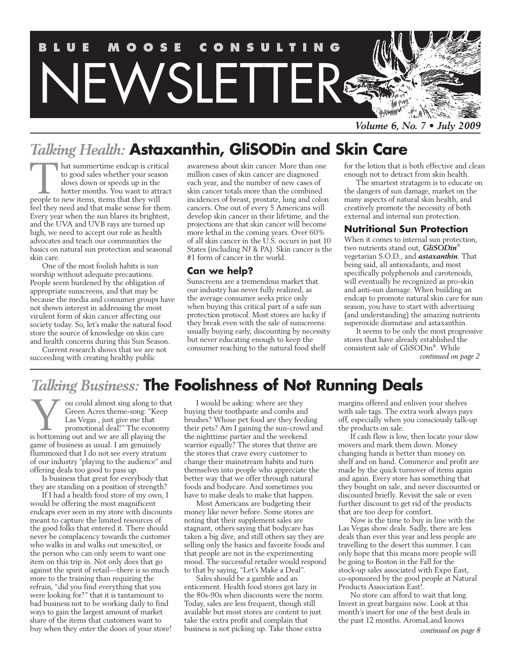

# *Talking Health:* **Astaxanthin, GliSODin and Skin Care**

hat summertime endcap is critical to good sales whether your season slows down or speeds up in the hotter months. You want to attract hat summertime endcap is critic<br>to good sales whether your sease<br>slows down or speeds up in the<br>hotter months. You want to attr<br>people to new items, items that they will feel they need and that make sense for them. Every year when the sun blares its brightest, and the UVA and UVB rays are turned up high, we need to accept our role as health advocates and teach our communities the basics on natural sun protection and seasonal skin care.

One of the most foolish habits is sun worship without adequate precautions. People seem burdened by the obligation of appropriate sunscreens, and that may be because the media and consumer groups have not shown interest in addressing the most virulent form of skin cancer affecting our society today. So, let's make the natural food store the source of knowledge on skin care and health concerns during this Sun Season.

Current research shows that we are not succeeding with creating healthy public

awareness about skin cancer. More than one million cases of skin cancer are diagnosed each year, and the number of new cases of skin cancer totals more than the combined incidences of breast, prostate, lung and colon cancers. One out of every 5 Americans will develop skin cancer in their lifetime, and the projections are that skin cancer will become more lethal in the coming years. Over 60% of all skin cancer in the U.S. occurs in just 10 States (including NJ & PA). Skin cancer is the #1 form of cancer in the world.

### **Can we help?**

Sunscreens are a tremendous market that our industry has never fully realized, as the average consumer seeks price only when buying this critical part of a safe sun protection protocol. Most stores are lucky if they break even with the sale of sunscreens: usually buying early, discounting by necessity but never educating enough to keep the consumer reaching to the natural food shelf

for the lotion that is both effective and clean enough not to detract from skin health.

The smartest stratagem is to educate on the dangers of sun damage, market on the many aspects of natural skin health, and creatively promote the necessity of both external and internal sun protection.

### **Nutritional Sun Protection**

When it comes to internal sun protection, two nutrients stand out, *GliSODin*® vegetarian S.O.D., and *astaxanthin*. That being said, all antioxidants, and most specifically polyphenols and carotenoids, will eventually be recognized as pro-skin and anti-sun damage. When building an endcap to promote natural skin care for sun season, you have to start with advertising (and understanding) the amazing nutrients superoxide dismutase and astaxanthin.

It seems to be only the most progressive stores that have already established the consistent sale of GliSODin® . While *continued on page 2*

# *Talking Business:* **The Foolishness of Not Running Deals**

ou could almost sing along to that Green Acres theme-song: "Keep Las Vegas , just give me that promotional deal!" The economy Is ou could almost sing along to the Green Acres theme-song: "Keep Las Vegas , just give me that promotional deal!" The economy is bottoming out and we are all playing the game of business as usual. I am genuinely flummoxed that I do not see every stratum of our industry "playing to the audience" and offering deals too good to pass up.

Is business that great for everybody that they are standing on a position of strength?

If I had a health food store of my own, I would be offering the most magnificent endcaps ever seen in my store with discounts meant to capture the limited resources of the good folks that entered it. There should never be complacency towards the customer who walks in and walks out unexcited, or the person who can only seem to want one item on this trip in. Not only does that go against the spirit of retail—there is so much more to the training than requiring the refrain, "did you find everything that you were looking for?" that it is tantamount to bad business not to be working daily to find ways to gain the largest amount of market share of the items that customers want to buy when they enter the doors of your store!

I would be asking: where are they buying their toothpaste and combs and brushes? Whose pet food are they feeding their pets? Am I gaining the sun-crowd and the nighttime partier and the weekend warrior equally? The stores that thrive are the stores that crave every customer to change their mainstream habits and turn themselves into people who appreciate the better way that we offer through natural foods and bodycare. And sometimes you have to make deals to make that happen.

Most Americans are budgeting their money like never before. Some stores are noting that their supplement sales are stagnant, others saying that bodycare has taken a big dive, and still others say they are selling only the basics and favorite foods and that people are not in the experimenting mood. The successful retailer would respond to that by saying, "Let's Make a Deal".

Sales should be a gamble and an enticement. Health food stores got lazy in the 80s-90s when discounts were the norm. Today, sales are less frequent, though still available but most stores are content to just take the extra profit and complain that business is not picking up. Take those extra

margins offered and enliven your shelves with sale tags. The extra work always pays off, especially when you consciously talk-up the products on sale.

If cash flow is low, then locate your slow movers and mark them down. Money changing hands is better than money on shelf and on hand. Commerce and profit are made by the quick turnover of items again and again. Every store has something that they bought on sale, and never discounted or discounted briefly. Revisit the sale or even further discount to get rid of the products that are too deep for comfort.

Now is the time to buy in line with the Las Vegas show deals. Sadly, there are less deals than ever this year and less people are travelling to the desert this summer. I can only hope that this means more people will be going to Boston in the Fall for the stock-up sales associated with Expo East, co-sponsored by the good people at Natural Products Association East!.

No store can afford to wait that long. Invest in great bargains now. Look at this month's insert for one of the best deals in the past 12 months. AromaLand knows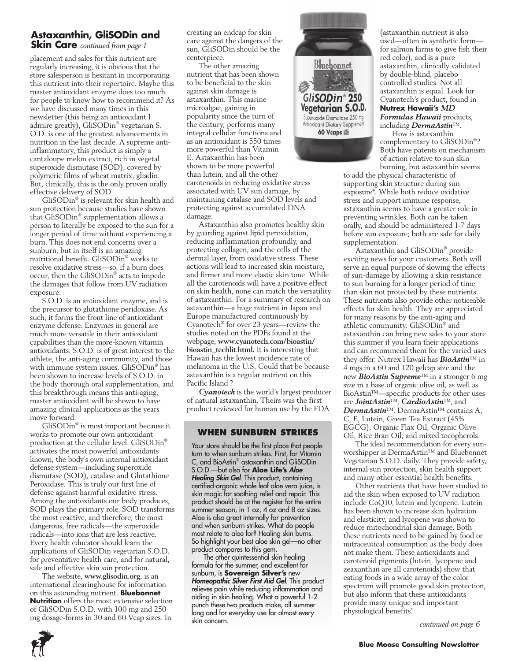### **Astaxanthin, GliSODin and Skin Care** *continued from page 1*

placement and sales for this nutrient are regularly increasing, it is obvious that the store salesperson is hesitant in incorporating this nutrient into their repertoire. Maybe this master antioxidant enzyme does too much for people to know how to recommend it? As we have discussed many times in this newsletter (this being an antioxidant I admire greatly), GliSODin® vegetarian S. O.D. is one of the greatest advancements in nutrition in the last decade. A supreme antiinflammatory, this product is simply a cantaloupe melon extract, rich in vegetal superoxide dismutase (SOD), covered by polymeric films of wheat matrix, gliadin. But, clinically, this is the only proven orally effective delivery of SOD.

GliSODin® is relevant for skin health and sun protection because studies have shown that GliSODin® supplementation allows a person to literally be exposed to the sun for a longer period of time without experiencing a burn. This does not end concerns over a sunburn, but in itself is an amazing nutritional benefit. GliSODin® works to resolve oxidative stress—so, if a burn does occur, then the GliSODin® acts to impede the damages that follow from UV radiation exposure.

S.O.D. is an antioxidant enzyme, and is the precursor to glutathione peridoxase. As such, it forms the front line of antioxidant enzyme defense. Enzymes in general are much more versatile in their antioxidant capabilities than the more-known vitamin antioxidants. S.O.D. is of great interest to the athlete, the anti-aging community, and those with immune system issues. GliSODin® has been shown to increase levels of S.O.D. in the body thorough oral supplementation, and this breakthrough means this anti-aging, master antioxidant will be shown to have amazing clinical applications as the years move forward.

GliSODin® is most important because it works to promote our own antioxidant production at the cellular level. GliSODin® activates the most powerful antioxidants known, the body's own internal antioxidant defense system—including superoxide dismutase (SOD), catalase and Glutathione Peroxidase. This is truly our first line of defense against harmful oxidative stress. Among the antioxidants our body produces, SOD plays the primary role. SOD transforms the most reactive, and therefore, the most dangerous, free radicals—the superoxide radicals—into ions that are less reactive. Every health educator should learn the applications of GliSODin vegetarian S.O.D. for preventative health care, and for natural, safe and effective skin sun protection.

The website, **www.glisodin.org**, is an international clearinghouse for information on this astounding nutrient. **Bluebonnet Nutrition** offers the most extensive selection of GliSODin S.O.D. with 100 mg and 250 mg dosage-forms in 30 and 60 Vcap sizes. In

creating an endcap for skin care against the dangers of the sun, GliSODin should be the centerpiece.

The other amazing nutrient that has been shown to be beneficial to the skin against skin damage is astaxanthin. This marine microalgae, gaining in popularity since the turn of the century, performs many integral cellular functions and as an antioxidant is 550 times more powerful than Vitamin E. Astaxanthin has been shown to be more powerful than lutein, and all the other carotenoids in reducing oxidative stress associated with UV sun damage, by maintaining catalase and SOD levels and protecting against accumulated DNA damage.

Astaxanthin also promotes healthy skin by guarding against lipid peroxidation, reducing inflammation profoundly, and protecting collagen, and the cells of the dermal layer, from oxidative stress. These actions will lead to increased skin moisture, and firmer and more elastic skin tone. While all the carotenoids will have a positive effect on skin health, none can match the versatility of astaxanthin. For a summary of research on astaxanthin—a huge nutrient in Japan and Europe manufactured continuously by Cyanotech® for over 23 years—review the studies noted on the PDFs found at the webpage, **www.cyanotech.com/bioastin/ bioastin\_techlit**.**html.** It is interesting that Hawaii has the lowest incidence rate of melanoma in the U.S. Could that be because astaxanthin is a regular nutrient on this Pacific Island ?

*Cyanotech* is the world's largest producer of natural astaxanthin. Theirs was the first product reviewed for human use by the FDA

#### **When Sunburn Strikes**

Your store should be the first place that people turn to when sunburn strikes. First, for Vitamin C, and BioAstin® astaxanthin and GliSODin S.O.D.—but also for **Aloe Life's** *Aloe Healing Skin Gel*. This product, containing certified-organic whole leaf aloe vera juice, is skin magic for soothing relief and repair. This product should be at the register for the entire summer season, in 1 oz, 4 oz and 8 oz sizes. Aloe is also great internally for prevention and when sunburn strikes. What do people most relate to aloe for? Healing skin burns. So highlight your best aloe skin gel—no other product compares to this gem.

The other quintessential skin healing formula for the summer, and excellent for sunburn, is **Sovereign Silver's** new *Homeopathic Silver First Aid Gel*. This product relieves pain while reducing inflammation and aiding in skin healing. What a powerful 1-2 punch these two products make, all summer long and for everyday use for almost every skin concern.



(astaxanthin nutrient is also used—often in synthetic form for salmon farms to give fish their red color), and is a pure astaxanthin, clinically validated by double-blind, placebo controlled studies. Not all astaxanthin is equal. Look for Cyanotech's product, found in **Nutrex Hawaii's** *MD* 

#### *Formulas Hawaii* products, including *DermaAstin*™.

How is astaxanthin complementary to GliSODin®? Both have patents on mechanism of action relative to sun skin burning, but astaxanthin seems

to add the physical characteristic of supporting skin structure during sun exposure\*. While both reduce oxidative stress and support immune response, astaxanthin seems to have a greater role in preventing wrinkles. Both can be taken orally, and should be administered 1-7 days before sun exposure; both are safe for daily supplementation.

Astaxanthin and GliSODin® provide exciting news for your customers. Both will serve an equal purpose of slowing the effects of sun-damage by allowing a skin resistance to sun burning for a longer period of time than skin not protected by these nutrients. These nutrients also provide other noticeable effects for skin health. They are appreciated for many reasons by the anti-aging and athletic community. GliSODin® and astaxanthin can bring new sales to your store this summer if you learn their applications and can recommend them for the varied uses they offer. Nutrex Hawaii has *BioAstin*™ in 4 mgs in a 60 and 120 gelcap size and the new *BioAstin Supreme*™ in a stronger 6 mg size in a base of organic olive oil, as well as BioAstin™—specific products for other uses are *JointAstin*™, *CardioAstin*™, and *DermaAstin*™. DermaAstin™ contains A, C, E, Lutein, Green Tea Extract (45% EGCG), Organic Flax Oil, Organic Olive Oil, Rice Bran Oil, and mixed tocopherols.

The ideal recommendation for every sunworshipper is DermaAstin™ and Bluebonnet Vegetarian S.O.D. daily. They provide safety, internal sun protection, skin health support and many other essential health benefits.

Other nutrients that have been studied to aid the skin when exposed to UV radiation include CoQ10, lutein and lycopene. Lutein has been shown to increase skin hydration and elasticity, and lycopene was shown to reduce mitochondrial skin damage. Both these nutrients need to be gained by food or nutraceutical consumption as the body does not make them. These antioxidants and carotenoid pigments (lutein, lycopene and zeaxanthan are all carotenoids) show that eating foods in a wide array of the color spectrum will promote good skin protection, but also inform that these antioxidants provide many unique and important physiological benefits!

*continued on page 6*

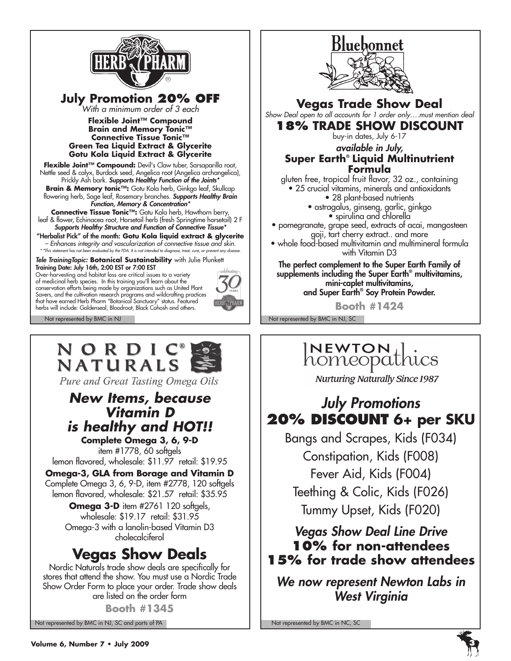

# NORDIC NATURALS

Pure and Great Tasting Omega Oils

# *New Items, because Vitamin D is healthy and HOT!!*

**Complete Omega 3, 6, 9-D** item #1778, 60 softgels lemon flavored, wholesale: \$11.97 retail: \$19.95

**Omega-3, GLA from Borage and Vitamin D** Complete Omega 3, 6, 9-D, item #2778, 120 softgels lemon flavored, wholesale: \$21.57 retail: \$35.95

> **Omega 3-D** item #2761 120 softgels, wholesale: \$19.17 retail: \$31.95 Omega-3 with a lanolin-based Vitamin D3 cholecalciferol

# **Vegas Show Deals**

Nordic Naturals trade show deals are specifically for stores that attend the show. You must use a Nordic Trade Show Order Form to place your order. Trade show deals are listed on the order form

**Booth #1345**

Not represented by BMC in NJ, SC and parts of PA Not represented by BMC in NC, SC



**Vegas Trade Show Deal** *Show Deal open to all accounts for 1 order only….must mention deal*

**18% TRADE SHOW DISCOUNT**

buy-in dates, July 6-17

## *available in July,* **Super Earth® Liquid Multinutrient Formula**

gluten free, tropical fruit flavor, 32 oz., containing • 25 crucial vitamins, minerals and antioxidants • 28 plant-based nutrients

- astragalus, ginseng, garlic, ginkgo • spirulina and chlorella
- pomegranate, grape seed, extracts of acai, mangosteen goji, tart cherry extract.. and more

• whole food-based multivitamin and multimineral formula with Vitamin D3

The perfect complement to the Super Earth Family of supplements including the Super Earth**®** multivitamins, mini-caplet multivitamins, and Super Earth**®** Soy Protein Powder.

**Booth #1424**

# **INEWTON** homeopathics

**Nurturing Naturally Since 1987** 

# *July Promotions* **20% Discount 6+ per SKU**

Bangs and Scrapes, Kids (F034) Constipation, Kids (F008) Fever Aid, Kids (F004) Teething & Colic, Kids (F026) Tummy Upset, Kids (F020)

*Vegas Show Deal Line Drive* **10% for non-attendees 15% for trade show attendees**

*We now represent Newton Labs in West Virginia*

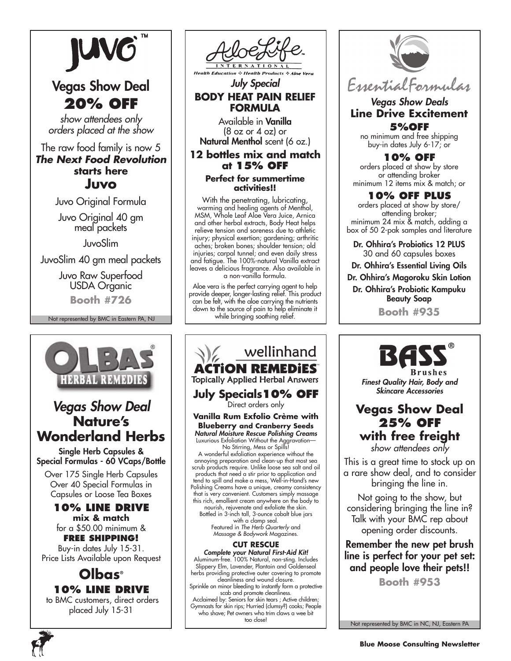

# Vegas Show Deal **20% off**

*show attendees only orders placed at the show*

## The raw food family is now 5 *The Next Food Revolution*  **starts here Juvo**

Juvo Original Formula

Juvo Original 40 gm meal packets

JuvoSlim

JuvoSlim 40 gm meal packets

Juvo Raw Superfood USDA Organic

**Booth #726**

Not represented by BMC in Eastern PA, NJ



# *Vegas Show Deal* **Nature's Wonderland Herbs**

Single Herb Capsules & Special Formulas - 60 VCaps/Bottle

Over 175 Single Herb Capsules Over 40 Special Formulas in Capsules or Loose Tea Boxes

## **10% Line Drive**

**mix & match** for a \$50.00 minimum & **Free Shipping!**

Buy-in dates July 15-31. Price Lists Available upon Request

> **Olbas® 10% Line Drive**

 to BMC customers, direct orders placed July 15-31



**Health Education** Products + Aloe Vera

## *July Special* **BODY HEAT PAIN RELIEF FORMULA**

Available in Vanilla (8 oz or 4 oz) or Natural Menthol scent (6 oz.)

## **12 bottles mix and match at 15% off**

#### **Perfect for summertime activities!!**

With the penetrating, lubricating, warming and healing agents of Menthol, MSM, Whole Leaf Aloe Vera Juice, Arnica and other herbal extracts, Body Heat helps relieve tension and soreness due to athletic injury; physical exertion; gardening; arthritic aches; broken bones; shoulder tension; old injuries; carpal tunnel; and even daily stress and fatigue. The 100%-natural Vanilla extract leaves a delicious fragrance. Also available in a non-vanilla formula.

Aloe vera is the perfect carrying agent to help provide deeper, longer-lasting relief. This product can be felt, with the aloe carrying the nutrients down to the source of pain to help eliminate it while bringing soothing relief.

#### wellinhand **ACTION REMEDIES Topically Applied Herbal Answers July Specials10% off** Direct orders only **Vanilla Rum Exfolio Crème with Blueberry and Cranberry Seeds** *Natural Moisture Rescue Polishing Creams* Luxurious Exfoliation Without the Aggravation— No Stirring, Mess or Spills! A wonderful exfoliation experience without the annoying preparation and clean-up that most sea scrub products require. Unlike loose sea salt and oil products that need a stir prior to application and tend to spill and make a mess, Well-in-Hand's new Polishing Creams have a unique, creamy consistency that is very convenient. Customers simply massage this rich, emollient cream anywhere on the body to nourish, rejuvenate and exfoliate the skin. Bottled in 3-inch tall, 3-ounce cobalt blue jars with a clamp seal. Featured in *The Herb Quarterly* and *Massage & Bodywork* Magazines. **CUT RESCUE** *Complete your Natural First-Aid Kit!* Aluminum-free. 100% Natural, non-sting. Includes Slippery Elm, Lavender, Plantain and Goldenseal herbs providing protective outer covering to promote cleanliness and wound closure. Sprinkle on minor bleeding to instantly form a protective scab and promote cleanliness. Acclaimed by: Seniors for skin tears ; Active children;

Gymnasts for skin rips; Hurried (clumsy?) cooks; People who shave; Pet owners who trim claws a wee bit too close!



## *Vegas Show Deals* **Line Drive Excitement 5%off**

no minimum and free shipping buy-in dates July 6-17; or

**10% off** orders placed at show by store or attending broker minimum 12 items mix & match; or

#### **10% off PLUS** orders placed at show by store/ attending broker; minimum 24 mix & match, adding a box of 50 2-pak samples and literature

Dr. Ohhira's Probiotics 12 PLUS 30 and 60 capsules boxes

Dr. Ohhira's Essential Living Oils

Dr. Ohhira's Magoroku Skin Lotion Dr. Ohhira's Probiotic Kampuku

Beauty Soap

**Booth #935**



*Finest Quality Hair, Body and Skincare Accessories*

# **Vegas Show Deal 25% off with free freight**

*show attendees only*

This is a great time to stock up on a rare show deal, and to consider bringing the line in.

Not going to the show, but considering bringing the line in? Talk with your BMC rep about opening order discounts.

## Remember the new pet brush line is perfect for your pet set: and people love their pets!!

**Booth #953**

Not represented by BMC in NC, NJ, Eastern PA

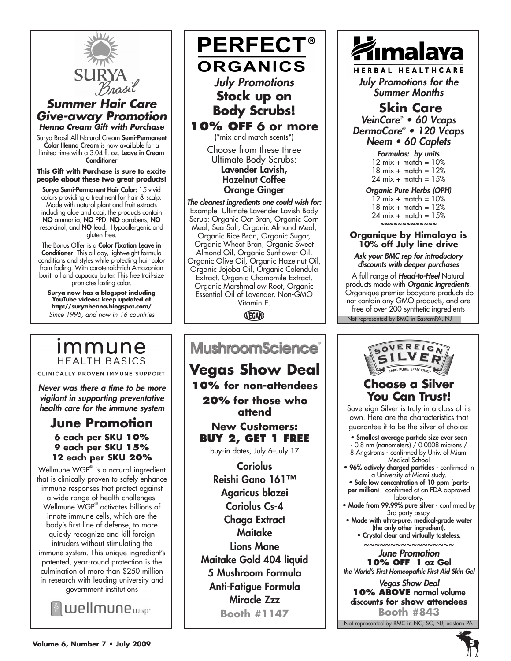

### *Summer Hair Care Give-away Promotion Henna Cream Gift with Purchase*

Surya Brasil All Natural Cream Semi-Permanent Color Henna Cream is now available for a limited time with a 3.04 fl. oz. Leave in Cream **Conditioner** 

**This Gift with Purchase is sure to excite people about these two great products!**

Surya Semi-Permanent Hair Color: 15 vivid colors providing a treatment for hair & scalp. Made with natural plant and fruit extracts including aloe and acai, the products contain NO ammonia, NO PPD, NO parabens, NO resorcinol, and NO lead. Hypoallergenic and gluten free.

The Bonus Offer is a Color Fixation Leave in **Conditioner**. This all-day, lightweight formula conditions and styles while protecting hair color from fading. With carotenoid-rich Amazonian buriti oil and cupuacu butter. This free trail-size promotes lasting color.

**Surya now has a blogspot including YouTube videos: keep updated at http://suryahenna.blogspot.com/** *Since 1995, and now in 16 countries*

# immune **HEALTH BASICS**

CLINICALLY PROVEN IMMUNE SUPPORT

*Never was there a time to be more vigilant in supporting preventative health care for the immune system*

# **June Promotion**

**6 each per SKU 10% 9 each per SKU 15% 12 each per SKU 20%**

Wellmune WGP® is a natural ingredient that is clinically proven to safely enhance immune responses that protect against a wide range of health challenges. Wellmune WGP® activates billions of innate immune cells, which are the body's first line of defense, to more quickly recognize and kill foreign intruders without stimulating the immune system. This unique ingredient's patented, year-round protection is the culmination of more than \$250 million in research with leading university and government institutions



**PERFECT® ORGANICS** *July Promotions* **Stock up on** 

**Body Scrubs! 10% off 6 or more**

(\*mix and match scents\*) Choose from these three Ultimate Body Scrubs: Lavender Lavish, Hazelnut Coffee Orange Ginger

*The cleanest ingredients one could wish for:* Example: Ultimate Lavender Lavish Body Scrub: Organic Oat Bran, Organic Corn Meal, Sea Salt, Organic Almond Meal, Organic Rice Bran, Organic Sugar, Organic Wheat Bran, Organic Sweet Almond Oil, Organic Sunflower Oil, Organic Olive Oil, Organic Hazelnut Oil, Organic Jojoba Oil, Organic Calendula Extract, Organic Chamomile Extract, Organic Marshmallow Root, Organic Essential Oil of Lavender, Non-GMO Vitamin E.

VEGAN

# **MushroomScience**® **Vegas Show Deal 10% for non-attendees 20% for those who attend New Customers: buy 2, get 1 free** buy-in dates, July 6–July 17 **Coriolus** Reishi Gano 161™ Agaricus blazei Coriolus Cs-4 Chaga Extract **Maitake** Lions Mane Maitake Gold 404 liquid 5 Mushroom Formula Anti-Fatigue Formula

Miracle Zzz **Booth #1147**



HERBAL HEALTHCARE *July Promotions for the Summer Months*

 **Skin Care** *VeinCare® • 60 Vcaps DermaCare® • 120 Vcaps Neem • 60 Caplets*

> *Formulas: by units* 12 mix + match = 10% 18 mix + match = 12%  $24 \text{ mix } + \text{match} = 15\%$

### *Organic Pure Herbs (OPH)*

 $12 \text{ mix} + \text{match} = 10\%$ 

18 mix + match = 12%

 $24 \text{ mix} + \text{match} = 15\%$ *~~~~~~~~~~~~~*

#### **Organique by Himalaya is 10% off July line drive**

*Ask your BMC rep for introductory discounts with deeper purchases*

Not represented by BMC in EasternPA, NJ A full range of *Head-to-Heel* Natural products made with *Organic Ingredients*. Organique premier bodycare products do not contain any GMO products, and are free of over 200 synthetic ingredients



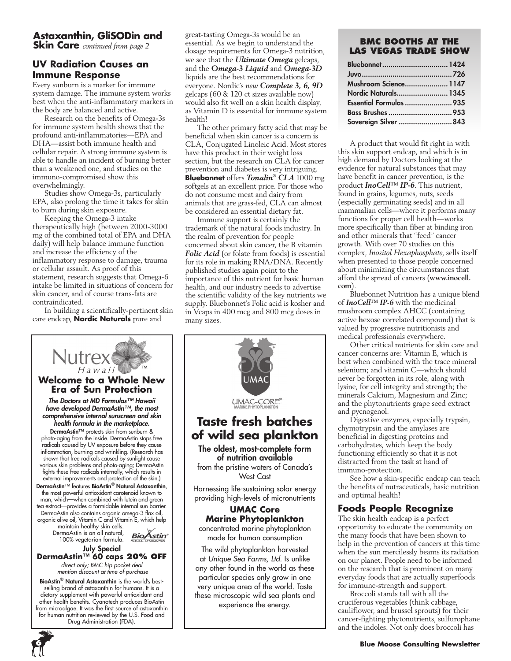#### **Astaxanthin, GliSODin and Skin Care** *continued from page 2*

### **UV Radiation Causes an Immune Response**

Every sunburn is a marker for immune system damage. The immune system works best when the anti-inflammatory markers in the body are balanced and active.

Research on the benefits of Omega-3s for immune system health shows that the profound anti-inflammatories—EPA and DHA—assist both immune health and cellular repair. A strong immune system is able to handle an incident of burning better than a weakened one, and studies on the immuno-compromised show this overwhelmingly.

Studies show Omega-3s, particularly EPA, also prolong the time it takes for skin to burn during skin exposure.

Keeping the Omega-3 intake therapeutically high (between 2000-3000 mg of the combined total of EPA and DHA daily) will help balance immune function and increase the efficiency of the inflammatory response to damage, trauma or cellular assault. As proof of this statement, research suggests that Omega-6 intake be limited in situations of concern for skin cancer, and of course trans-fats are contraindicated.

In building a scientifically-pertinent skin care endcap, **Nordic Naturals** pure and

great-tasting Omega-3s would be an essential. As we begin to understand the dosage requirements for Omega-3 nutrition, we see that the *Ultimate Omega* gelcaps, and the *Omega-3 Liquid* and *Omega-3D* liquids are the best recommendations for everyone. Nordic's *new Complete 3, 6, 9D* gelcaps (60 & 120 ct sizes available now) would also fit well on a skin health display, as Vitamin D is essential for immune system health!

The other primary fatty acid that may be beneficial when skin cancer is a concern is CLA, Conjugated Linoleic Acid. Most stores have this product in their weight loss section, but the research on CLA for cancer prevention and diabetes is very intriguing. **Bluebonnet** offers *Tonalin*® *CLA* 1000 mg softgels at an excellent price. For those who do not consume meat and dairy from animals that are grass-fed, CLA can almost be considered an essential dietary fat.

Immune support is certainly the trademark of the natural foods industry. In the realm of prevention for people concerned about skin cancer, the B vitamin *Folic Acid* (or folate from foods) is essential for its role in making RNA/DNA. Recently published studies again point to the importance of this nutrient for basic human health, and our industry needs to advertise the scientific validity of the key nutrients we supply. Bluebonnet's Folic acid is kosher and in Vcaps in 400 mcg and 800 mcg doses in many sizes.



### **BMC Booths at the Las Vegas Trade Show**

| <b>Mushroom Science 1147</b>   |  |
|--------------------------------|--|
| <b>Nordic Naturals 1345</b>    |  |
| <b>Essential Formulas  935</b> |  |
|                                |  |
| Sovereign Silver  843          |  |

A product that would fit right in with this skin support endcap, and which is in high demand by Doctors looking at the evidence for natural substances that may have benefit in cancer prevention, is the product *InoCell™ IP-6*. This nutrient, found in grains, legumes, nuts, seeds (especially germinating seeds) and in all mammalian cells—where it performs many functions for proper cell health—works more specifically than fiber at binding iron and other minerals that "feed" cancer growth. With over 70 studies on this complex, *Inositol Hexaphosphate*, sells itself when presented to those people concerned about minimizing the circumstances that afford the spread of cancers (**www.inocell. com**).

Bluebonnet Nutrition has a unique blend of *InoCell™ IP-6* with the medicinal mushroom complex AHCC (containing **a**ctive **h**exose **c**orrelated **c**ompound) that is valued by progressive nutritionists and medical professionals everywhere.

Other critical nutrients for skin care and cancer concerns are: Vitamin E, which is best when combined with the trace mineral selenium; and vitamin C—which should never be forgotten in its role, along with lysine, for cell integrity and strength; the minerals Calcium, Magnesium and Zinc; and the phytonutrients grape seed extract and pycnogenol.

Digestive enzymes, especially trypsin, chymotrypsin and the amylases are beneficial in digesting proteins and carbohydrates, which keep the body functioning efficiently so that it is not distracted from the task at hand of immuno-protection.

See how a skin-specific endcap can teach the benefits of nutraceuticals, basic nutrition and optimal health!

### **Foods People Recognize**

The skin health endcap is a perfect opportunity to educate the community on the many foods that have been shown to help in the prevention of cancers at this time when the sun mercilessly beams its radiation on our planet. People need to be informed on the research that is prominent on many everyday foods that are actually superfoods for immune-strength and support.

Broccoli stands tall with all the cruciferous vegetables (think cabbage, cauliflower, and brussel sprouts) for their cancer-fighting phytonutrients, sulfurophane and the indoles. Not only does broccoli has

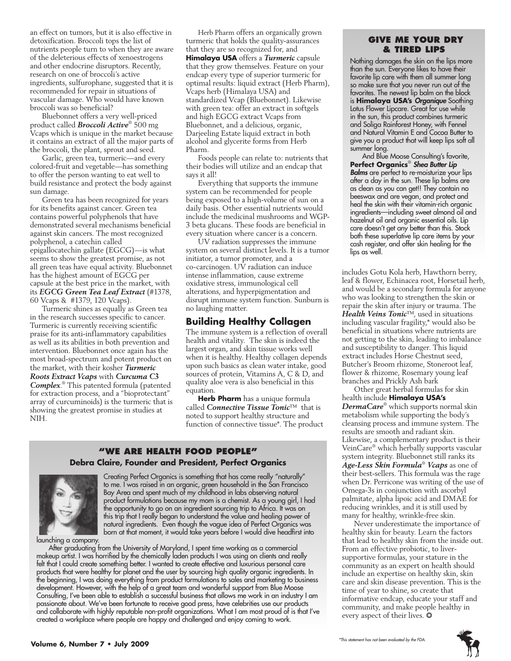an effect on tumors, but it is also effective in detoxification. Broccoli tops the list of nutrients people turn to when they are aware of the deleterious effects of xenoestrogens and other endocrine disruptors. Recently, research on one of broccoli's active ingredients, sulfurophane, suggested that it is recommended for repair in situations of vascular damage. Who would have known broccoli was so beneficial?

Bluebonnet offers a very well-priced product called *Broccoli Active*® 500 mg Vcaps which is unique in the market because it contains an extract of all the major parts of the broccoli, the plant, sprout and seed.

Garlic, green tea, turmeric—and every colored-fruit and vegetable—has something to offer the person wanting to eat well to build resistance and protect the body against sun damage.

Green tea has been recognized for years for its benefits against cancer. Green tea contains powerful polyphenols that have demonstrated several mechanisms beneficial against skin cancers. The most recognized polyphenol, a catechin called epigallocatechin gallate (EGCG)—is what seems to show the greatest promise, as not all green teas have equal activity. Bluebonnet has the highest amount of EGCG per capsule at the best price in the market, with its *EGCG Green Tea Leaf Extract* (#1378, 60 Vcaps & #1379, 120 Vcaps).

Turmeric shines as equally as Green tea in the research successes specific to cancer. Turmeric is currently receiving scientific praise for its anti-inflammatory capabilities as well as its abilities in both prevention and intervention. Bluebonnet once again has the most broad-spectrum and potent product on the market, with their kosher *Turmeric Roots Extract Vcaps* with *Curcuma C3 Complex*. ® This patented formula (patented for extraction process, and a "bioprotectant" array of curcuminoids) is the turmeric that is showing the greatest promise in studies at NIH.

Herb Pharm offers an organically grown turmeric that holds the quality-assurances that they are so recognized for, and **Himalaya USA** offers a *Turmeric* capsule that they grow themselves. Feature on your endcap every type of superior turmeric for optimal results: liquid extract (Herb Pharm), Vcaps herb (Himalaya USA) and standardized Vcap (Bluebonnet). Likewise with green tea: offer an extract in softgels and high EGCG extract Vcaps from Bluebonnet, and a delicious, organic, Darjeeling Estate liquid extract in both alcohol and glycerite forms from Herb Pharm.

Foods people can relate to: nutrients that their bodies will utilize and an endcap that says it all!

Everything that supports the immune system can be recommended for people being exposed to a high-volume of sun on a daily basis. Other essential nutrients would include the medicinal mushrooms and WGP-3 beta glucans. These foods are beneficial in every situation where cancer is a concern.

UV radiation suppresses the immune system on several distinct levels. It is a tumor initiator, a tumor promoter, and a co-carcinogen. UV radiation can induce intense inflammation, cause extreme oxidative stress, immunological cell alterations, and hyperpigmentation and disrupt immune system function. Sunburn is no laughing matter.

### **Building Healthy Collagen**

The immune system is a reflection of overall health and vitality. The skin is indeed the largest organ, and skin tissue works well when it is healthy. Healthy collagen depends upon such basics as clean water intake, good sources of protein, Vitamins A, C & D, and quality aloe vera is also beneficial in this equation.

**Herb Pharm** has a unique formula called *Connective Tissue Tonic*™ that is noted to support healthy structure and function of connective tissue\*. The product

#### **"We Are health food people" Debra Claire, Founder and President, Perfect Organics**



Creating Perfect Organics is something that has come really "naturally" to me. I was raised in an organic, green household in the San Francisco Bay Area and spent much of my childhood in labs observing natural product formulations because my mom is a chemist. As a young girl, I had the opportunity to go on an ingredient sourcing trip to Africa. It was on this trip that I really began to understand the value and healing power of natural ingredients. Even though the vague idea of Perfect Organics was born at that moment, it would take years before I would dive headfirst into

launching a company.

After graduating from the University of Maryland, I spent time working as a commercial makeup artist. I was horrified by the chemically laden products I was using on clients and really felt that I could create something better. I wanted to create effective and luxurious personal care products that were healthy for planet and the user by sourcing high quality organic ingredients. In the beginning, I was doing everything from product formulations to sales and marketing to business development. However, with the help of a great team and wonderful support from Blue Moose Consulting, I've been able to establish a successful business that allows me work in an industry I am passionate about. We've been fortunate to receive good press, have celebrities use our products and collaborate with highly reputable non-profit organizations. What I am most proud of is that I've created a workplace where people are happy and challenged and enjoy coming to work.

#### **Give me your dry & tired lips**

Nothing damages the skin on the lips more than the sun. Everyone likes to have their favorite lip care with them all summer long so make sure that you never run out of the favorites. The newest lip balm on the block is **Himalaya USA's** *Organique* Soothing Lotus Flower Lipcare. Great for use while in the sun, this product combines turmeric and Soliga Rainforest Honey, with Fennel and Natural Vitamin E and Cocoa Butter to give you a product that will keep lips soft all summer long.

And Blue Moose Consulting's favorite, **Perfect Organics**® *Shea Butter Lip Balms* are perfect to re-moisturize your lips after a day in the sun. These lip balms are as clean as you can get!! They contain no beeswax and are vegan, and protect and heal the skin with their vitamin-rich organic ingredients—including sweet almond oil and hazelnut oil and organic essential oils. Lip care doesn't get any better than this. Stock both these superlative lip care items by your cash register, and offer skin healing for the lips as well.

includes Gotu Kola herb, Hawthorn berry, leaf & flower, Echinacea root, Horsetail herb, and would be a secondary formula for anyone who was looking to strengthen the skin or repair the skin after injury or trauma. The *Health Veins Tonic*™, used in situations including vascular fragility,\* would also be beneficial in situations where nutrients are not getting to the skin, leading to imbalance and susceptibility to danger. This liquid extract includes Horse Chestnut seed, Butcher's Broom rhizome, Stoneroot leaf, flower & rhizome, Rosemary young leaf branches and Prickly Ash bark

Other great herbal formulas for skin health include **Himalaya USA's** *DermaCare*® which supports normal skin metabolism while supporting the body's cleansing process and immune system. The results are smooth and radiant skin. Likewise, a complementary product is their VeinCare® which herbally supports vascular system integrity. Bluebonnet still ranks its *Age-Less Skin Formula*® *Vcaps* as one of their best-sellers. This formula was the rage when Dr. Perricone was writing of the use of Omega-3s in conjunction with ascorbyl palmitate, alpha lipoic acid and DMAE for reducing wrinkles, and it is still used by many for healthy, wrinkle-free skin.

Never underestimate the importance of healthy skin for beauty. Learn the factors that lead to healthy skin from the inside out. From an effective probiotic, to liversupportive formulas, your stature in the community as an expert on health should include an expertise on healthy skin, skin care and skin disease prevention. This is the time of year to shine, so create that informative endcap, educate your staff and community, and make people healthy in every aspect of their lives.  $\bullet$